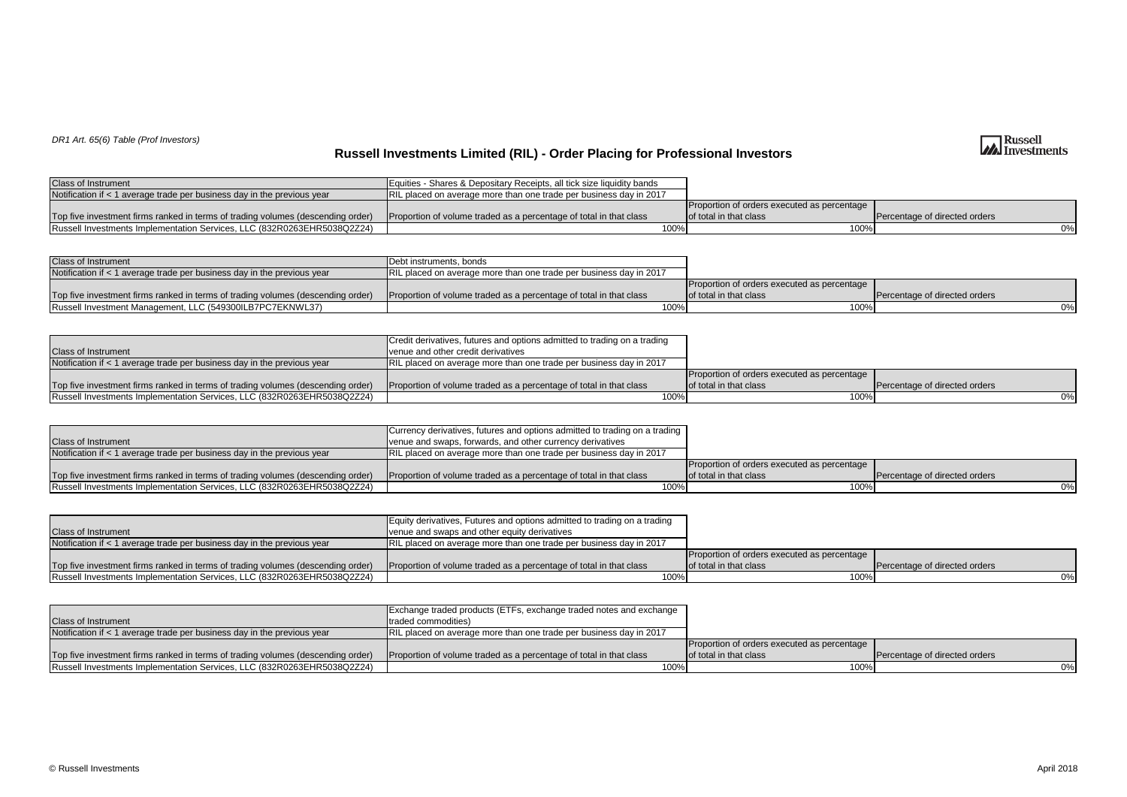### *DR1 Art. 65(6) Table (Prof Investors)*

| <b>Class of Instrument</b>                                                      | Equities - Shares & Depositary Receipts, all tick size liquidity bands |                                             |                               |
|---------------------------------------------------------------------------------|------------------------------------------------------------------------|---------------------------------------------|-------------------------------|
| Notification if < 1 average trade per business day in the previous year         | RIL placed on average more than one trade per business day in 2017     |                                             |                               |
|                                                                                 |                                                                        | Proportion of orders executed as percentage |                               |
| Top five investment firms ranked in terms of trading volumes (descending order) | Proportion of volume traded as a percentage of total in that class     | lof total in that class                     | Percentage of directed orders |
| <b>Russell Investments Implementation Services, LLC (832R0263EHR5038Q2Z24)</b>  |                                                                        | 100%                                        |                               |

| <b>Class of Instrument</b>                                                      | <b>IDebt instruments, bonds</b>                                     |                                             |                               |
|---------------------------------------------------------------------------------|---------------------------------------------------------------------|---------------------------------------------|-------------------------------|
| Notification if $<$ 1 average trade per business day in the previous year       | IRIL placed on average more than one trade per business day in 2017 |                                             |                               |
|                                                                                 |                                                                     | Proportion of orders executed as percentage |                               |
| Top five investment firms ranked in terms of trading volumes (descending order) | Proportion of volume traded as a percentage of total in that class  | lof total in that class                     | Percentage of directed orders |
| Russell Investment Management, LLC (549300ILB7PC7EKNWL37)                       | 100%                                                                | 100%                                        |                               |

|                                                                                 | Credit derivatives, futures and options admitted to trading on a trading  |                                             |                                        |
|---------------------------------------------------------------------------------|---------------------------------------------------------------------------|---------------------------------------------|----------------------------------------|
| <b>Class of Instrument</b>                                                      | I venue and other credit derivatives                                      |                                             |                                        |
| Notification if < 1 average trade per business day in the previous year         | <b>RIL</b> placed on average more than one trade per business day in 2017 |                                             |                                        |
|                                                                                 |                                                                           | Proportion of orders executed as percentage |                                        |
| Top five investment firms ranked in terms of trading volumes (descending order) | Proportion of volume traded as a percentage of total in that class        | lof total in that class                     | <b>I</b> Percentage of directed orders |
| <b>Russell Investments Implementation Services, LLC (832R0263EHR5038Q2Z24)</b>  | 100%                                                                      | 100%                                        | 0%                                     |

|                                                                                 | Currency derivatives, futures and options admitted to trading on a trading |                                                    |                               |
|---------------------------------------------------------------------------------|----------------------------------------------------------------------------|----------------------------------------------------|-------------------------------|
| <b>Class of Instrument</b>                                                      | venue and swaps, forwards, and other currency derivatives                  |                                                    |                               |
| Notification if < 1 average trade per business day in the previous year         | RIL placed on average more than one trade per business day in 2017         |                                                    |                               |
|                                                                                 |                                                                            | <b>Proportion of orders executed as percentage</b> |                               |
| Top five investment firms ranked in terms of trading volumes (descending order) | Proportion of volume traded as a percentage of total in that class         | lof total in that class                            | Percentage of directed orders |
| Russell Investments Implementation Services, LLC (832R0263EHR5038Q2Z24)         | 100%                                                                       | 100%                                               |                               |

|                                                                                 | Equity derivatives, Futures and options admitted to trading on a trading  |                                             |                               |
|---------------------------------------------------------------------------------|---------------------------------------------------------------------------|---------------------------------------------|-------------------------------|
| <b>Class of Instrument</b>                                                      | venue and swaps and other equity derivatives                              |                                             |                               |
| Notification if $<$ 1 average trade per business day in the previous year       | <b>RIL</b> placed on average more than one trade per business day in 2017 |                                             |                               |
|                                                                                 |                                                                           | Proportion of orders executed as percentage |                               |
| Top five investment firms ranked in terms of trading volumes (descending order) | Proportion of volume traded as a percentage of total in that class        | lof total in that class                     | Percentage of directed orders |
| Russell Investments Implementation Services, LLC (832R0263EHR5038Q2Z24)         |                                                                           | 100%                                        | 0%                            |

|                                                                                 | Exchange traded products (ETFs, exchange traded notes and exchange |                                             |                               |
|---------------------------------------------------------------------------------|--------------------------------------------------------------------|---------------------------------------------|-------------------------------|
| <b>Class of Instrument</b>                                                      | traded commodities)                                                |                                             |                               |
| Notification if < 1 average trade per business day in the previous year         | RIL placed on average more than one trade per business day in 2017 |                                             |                               |
|                                                                                 |                                                                    | Proportion of orders executed as percentage |                               |
| Top five investment firms ranked in terms of trading volumes (descending order) | Proportion of volume traded as a percentage of total in that class | lof total in that class                     | Percentage of directed orders |
| <b>Russell Investments Implementation Services, LLC (832R0263EHR5038Q2Z24)</b>  | 100%                                                               | 100%                                        | 0%                            |

# **Russell Investments Limited (RIL) - Order Placing for Professional Investors**

# **Russell**<br>Investments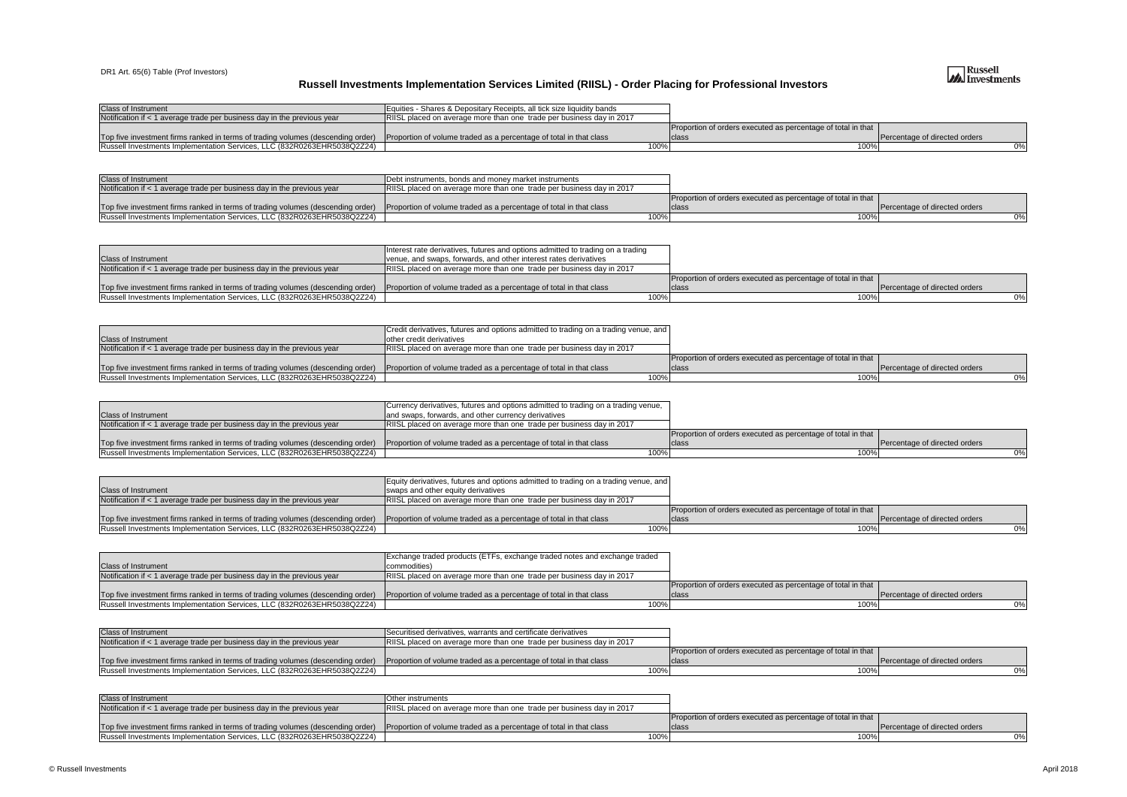#### DR1 Art. 65(6) Table (Prof Investors)

| <b>Class of Instrument</b>                                                                                                                         | Equities - Shares & Depositary Receipts, all tick size liquidity bands |                                                                     |                               |
|----------------------------------------------------------------------------------------------------------------------------------------------------|------------------------------------------------------------------------|---------------------------------------------------------------------|-------------------------------|
| Notification if < 1 average trade per business day in the previous year                                                                            | RIISL placed on average more than one trade per business day in 2017   |                                                                     |                               |
|                                                                                                                                                    |                                                                        | <b>Proportion of orders executed as percentage of total in that</b> |                               |
| Top five investment firms ranked in terms of trading volumes (descending order) Proportion of volume traded as a percentage of total in that class |                                                                        | <b>I</b> class                                                      | Percentage of directed orders |
| Russell Investments Implementation Services, LLC (832R0263EHR5038Q2Z24)                                                                            | 100%                                                                   | 100%                                                                | $0\%$                         |

| <b>Class of Instrument</b>                                                                                                                          | Debt instruments, bonds and money market instruments                |                                                              |                               |
|-----------------------------------------------------------------------------------------------------------------------------------------------------|---------------------------------------------------------------------|--------------------------------------------------------------|-------------------------------|
| Notification if < 1 average trade per business day in the previous year                                                                             | RISL placed on average more than one trade per business day in 2017 |                                                              |                               |
|                                                                                                                                                     |                                                                     | Proportion of orders executed as percentage of total in that |                               |
| Top five investment firms ranked in terms of trading volumes (descending order) [Proportion of volume traded as a percentage of total in that class |                                                                     | <b>I</b> class                                               | Percentage of directed orders |
| Russell Investments Implementation Services, LLC (832R0263EHR5038Q2Z24)                                                                             |                                                                     |                                                              |                               |

|                                                                                 | Interest rate derivatives, futures and options admitted to trading on a trading |                                                                     |                               |
|---------------------------------------------------------------------------------|---------------------------------------------------------------------------------|---------------------------------------------------------------------|-------------------------------|
| <b>Class of Instrument</b>                                                      | venue, and swaps, forwards, and other interest rates derivatives                |                                                                     |                               |
| Notification if < 1 average trade per business day in the previous year         | RIISL placed on average more than one trade per business day in 2017            |                                                                     |                               |
|                                                                                 |                                                                                 | <b>Proportion of orders executed as percentage of total in that</b> |                               |
| Top five investment firms ranked in terms of trading volumes (descending order) | Proportion of volume traded as a percentage of total in that class              | <b>I</b> class                                                      | Percentage of directed orders |
| <b>Russell Investments Implementation Services, LLC (832R0263EHR5038Q2Z24)</b>  | 100%                                                                            | 100%                                                                | 0%                            |

|                                                                                 | Credit derivatives, futures and options admitted to trading on a trading venue, and |                                                                     |                               |
|---------------------------------------------------------------------------------|-------------------------------------------------------------------------------------|---------------------------------------------------------------------|-------------------------------|
| <b>Class of Instrument</b>                                                      | lother credit derivatives                                                           |                                                                     |                               |
| Notification if $<$ 1 average trade per business day in the previous year       | RIISL placed on average more than one trade per business day in 2017                |                                                                     |                               |
|                                                                                 |                                                                                     | <b>Proportion of orders executed as percentage of total in that</b> |                               |
| Top five investment firms ranked in terms of trading volumes (descending order) | Proportion of volume traded as a percentage of total in that class                  | <b>I</b> class                                                      | Percentage of directed orders |
| Russell Investments Implementation Services, LLC (832R0263EHR5038Q2Z24)         |                                                                                     |                                                                     |                               |

|                                                                                                                                                    | Currency derivatives, futures and options admitted to trading on a trading venue, |                                                                     |                               |
|----------------------------------------------------------------------------------------------------------------------------------------------------|-----------------------------------------------------------------------------------|---------------------------------------------------------------------|-------------------------------|
| <b>Class of Instrument</b>                                                                                                                         | and swaps, forwards, and other currency derivatives                               |                                                                     |                               |
| Notification if < 1 average trade per business day in the previous year                                                                            | [RISL placed on average more than one trade per business day in 2017]             |                                                                     |                               |
|                                                                                                                                                    |                                                                                   | <b>Proportion of orders executed as percentage of total in that</b> |                               |
| Top five investment firms ranked in terms of trading volumes (descending order) Proportion of volume traded as a percentage of total in that class |                                                                                   | <b>I</b> class                                                      | Percentage of directed orders |
| Russell Investments Implementation Services, LLC (832R0263EHR5038Q2Z24)                                                                            | 100%                                                                              |                                                                     |                               |

|                                                                                                                                                    | Equity derivatives, futures and options admitted to trading on a trading venue, and |                                                                     |                               |
|----------------------------------------------------------------------------------------------------------------------------------------------------|-------------------------------------------------------------------------------------|---------------------------------------------------------------------|-------------------------------|
| <b>Class of Instrument</b>                                                                                                                         | swaps and other equity derivatives                                                  |                                                                     |                               |
| Notification if < 1 average trade per business day in the previous year                                                                            | RIISL placed on average more than one trade per business day in 2017                |                                                                     |                               |
|                                                                                                                                                    |                                                                                     | <b>Proportion of orders executed as percentage of total in that</b> |                               |
| Top five investment firms ranked in terms of trading volumes (descending order) Proportion of volume traded as a percentage of total in that class |                                                                                     | <b>I</b> class                                                      | Percentage of directed orders |
| Russell Investments Implementation Services, LLC (832R0263EHR5038Q2Z24)                                                                            | 100%                                                                                |                                                                     | $0\%$                         |

|                                                                                                                                                    | Exchange traded products (ETFs, exchange traded notes and exchange traded  |                                                              |                               |
|----------------------------------------------------------------------------------------------------------------------------------------------------|----------------------------------------------------------------------------|--------------------------------------------------------------|-------------------------------|
| <b>Class of Instrument</b>                                                                                                                         | commodities)                                                               |                                                              |                               |
| Notification if < 1 average trade per business day in the previous year                                                                            | <b>RISL placed on average more than one trade per business day in 2017</b> |                                                              |                               |
|                                                                                                                                                    |                                                                            | Proportion of orders executed as percentage of total in that |                               |
| Top five investment firms ranked in terms of trading volumes (descending order) Proportion of volume traded as a percentage of total in that class |                                                                            | <b>I</b> class                                               | Percentage of directed orders |
| Russell Investments Implementation Services, LLC (832R0263EHR5038Q2Z24)                                                                            | $100\%$                                                                    | 100%                                                         |                               |

| <b>Class of Instrument</b>                                                                                                                         | Securitised derivatives, warrants and certificate derivatives                |                                                                     |                               |
|----------------------------------------------------------------------------------------------------------------------------------------------------|------------------------------------------------------------------------------|---------------------------------------------------------------------|-------------------------------|
| Notification if $\lt 1$ average trade per business day in the previous year                                                                        | <b>TRIISL</b> placed on average more than one trade per business day in 2017 |                                                                     |                               |
|                                                                                                                                                    |                                                                              | <b>Proportion of orders executed as percentage of total in that</b> |                               |
| Top five investment firms ranked in terms of trading volumes (descending order) Proportion of volume traded as a percentage of total in that class |                                                                              | <b>I</b> class                                                      | Percentage of directed orders |
| Russell Investments Implementation Services, LLC (832R0263EHR5038Q2Z24)                                                                            | 100%                                                                         |                                                                     |                               |

| <b>Class of Instrument</b>                                                                                                                         | <b>IOther instruments</b>                                                  |                                                              |                               |
|----------------------------------------------------------------------------------------------------------------------------------------------------|----------------------------------------------------------------------------|--------------------------------------------------------------|-------------------------------|
| Notification if < 1 average trade per business day in the previous year                                                                            | <b>RISL</b> placed on average more than one trade per business day in 2017 |                                                              |                               |
|                                                                                                                                                    |                                                                            | Proportion of orders executed as percentage of total in that |                               |
| Top five investment firms ranked in terms of trading volumes (descending order) Proportion of volume traded as a percentage of total in that class |                                                                            | <b>I</b> class                                               | Percentage of directed orders |
| Russell Investments Implementation Services, LLC (832R0263EHR5038Q2Z24)                                                                            | 100%                                                                       |                                                              |                               |

## **Russell Investments Implementation Services Limited (RIISL) - Order Placing for Professional Investors**

# **Russell**<br>Investments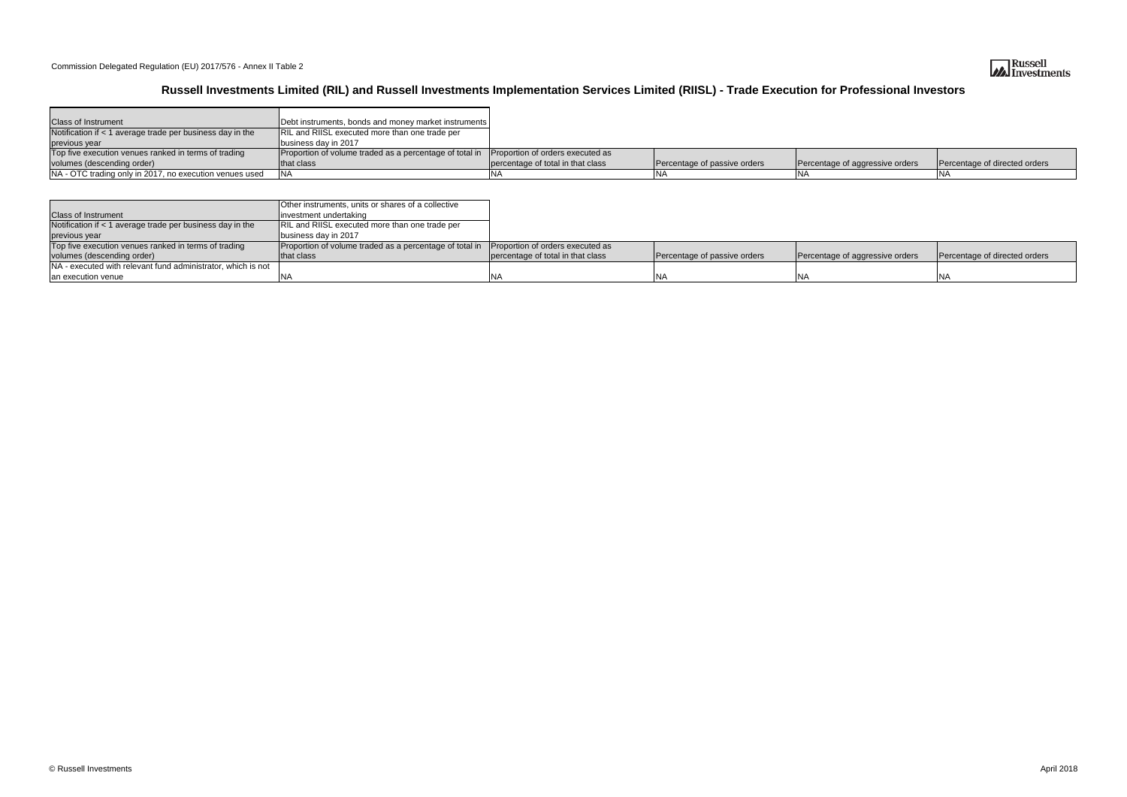Commission Delegated Regulation (EU) 2017/576 - Annex II Table 2

| <b>Class of Instrument</b>                                | Debt instruments, bonds and money market instruments    |                                   |                              |                                 |                               |
|-----------------------------------------------------------|---------------------------------------------------------|-----------------------------------|------------------------------|---------------------------------|-------------------------------|
| Notification if < 1 average trade per business day in the | <b>RIL and RIISL executed more than one trade per</b>   |                                   |                              |                                 |                               |
| previous year                                             | Ibusiness day in 2017                                   |                                   |                              |                                 |                               |
| Top five execution venues ranked in terms of trading      | Proportion of volume traded as a percentage of total in | Proportion of orders executed as  |                              |                                 |                               |
| volumes (descending order)                                | that class                                              | percentage of total in that class | Percentage of passive orders | Percentage of aggressive orders | Percentage of directed orders |
| INA - OTC trading only in 2017, no execution venues used  | <b>INA</b>                                              |                                   |                              |                                 |                               |

|                                                                                                               | Other instruments, units or shares of a collective      |                                   |                              |                                 |                               |
|---------------------------------------------------------------------------------------------------------------|---------------------------------------------------------|-----------------------------------|------------------------------|---------------------------------|-------------------------------|
| <b>Class of Instrument</b><br>investment undertaking                                                          |                                                         |                                   |                              |                                 |                               |
| Notification if $<$ 1 average trade per business day in the<br>RIL and RIISL executed more than one trade per |                                                         |                                   |                              |                                 |                               |
| Ibusiness dav in 2017<br>previous year                                                                        |                                                         |                                   |                              |                                 |                               |
| Top five execution venues ranked in terms of trading                                                          | Proportion of volume traded as a percentage of total in | Proportion of orders executed as  |                              |                                 |                               |
| volumes (descending order)                                                                                    | that class                                              | percentage of total in that class | Percentage of passive orders | Percentage of aggressive orders | Percentage of directed orders |
| NA - executed with relevant fund administrator, which is not                                                  |                                                         |                                   |                              |                                 |                               |
| an execution venue                                                                                            |                                                         | INA                               | INA                          |                                 |                               |

## **Russell Investments Limited (RIL) and Russell Investments Implementation Services Limited (RIISL) - Trade Execution for Professional Investors**



| aggressive orders | Percentage of directed orders |
|-------------------|-------------------------------|
|                   | <b>NA</b>                     |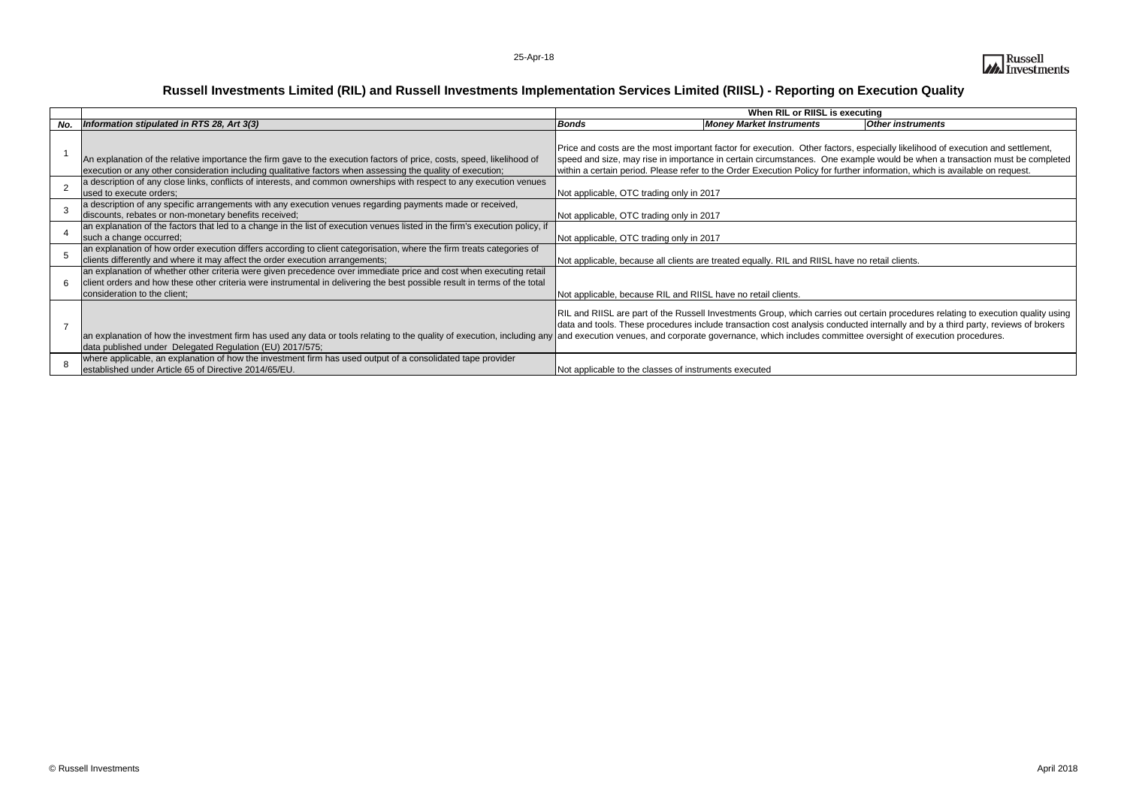|     |                                                                                                                                                                                                                                                                                      | When RIL or RIISL is executing                                |                                                                                                                                                                                                                                                                                                              |                          |  |
|-----|--------------------------------------------------------------------------------------------------------------------------------------------------------------------------------------------------------------------------------------------------------------------------------------|---------------------------------------------------------------|--------------------------------------------------------------------------------------------------------------------------------------------------------------------------------------------------------------------------------------------------------------------------------------------------------------|--------------------------|--|
| No. | Information stipulated in RTS 28, Art 3(3)                                                                                                                                                                                                                                           | <b>Bonds</b>                                                  | <b>Money Market Instruments</b>                                                                                                                                                                                                                                                                              | <b>Other instruments</b> |  |
|     | An explanation of the relative importance the firm gave to the execution factors of price, costs, speed, likelihood of<br>execution or any other consideration including qualitative factors when assessing the quality of execution;                                                |                                                               | Price and costs are the most important factor for execution. Other factors, especially likelihood o<br>speed and size, may rise in importance in certain circumstances. One example would be when a<br>within a certain period. Please refer to the Order Execution Policy for further information, which is |                          |  |
|     | a description of any close links, conflicts of interests, and common ownerships with respect to any execution venues<br>used to execute orders;                                                                                                                                      | Not applicable, OTC trading only in 2017                      |                                                                                                                                                                                                                                                                                                              |                          |  |
|     | a description of any specific arrangements with any execution venues regarding payments made or received,<br>discounts, rebates or non-monetary benefits received;                                                                                                                   | Not applicable, OTC trading only in 2017                      |                                                                                                                                                                                                                                                                                                              |                          |  |
|     | an explanation of the factors that led to a change in the list of execution venues listed in the firm's execution policy, if<br>such a change occurred;                                                                                                                              | Not applicable, OTC trading only in 2017                      |                                                                                                                                                                                                                                                                                                              |                          |  |
|     | an explanation of how order execution differs according to client categorisation, where the firm treats categories of<br>clients differently and where it may affect the order execution arrangements;                                                                               |                                                               | Not applicable, because all clients are treated equally. RIL and RIISL have no retail clients.                                                                                                                                                                                                               |                          |  |
| 6   | an explanation of whether other criteria were given precedence over immediate price and cost when executing retail<br>client orders and how these other criteria were instrumental in delivering the best possible result in terms of the total<br>consideration to the client;      | Not applicable, because RIL and RIISL have no retail clients. |                                                                                                                                                                                                                                                                                                              |                          |  |
|     | an explanation of how the investment firm has used any data or tools relating to the quality of execution, including any and execution venues, and corporate governance, which includes committee oversight of execution<br>data published under Delegated Regulation (EU) 2017/575; |                                                               | RIL and RIISL are part of the Russell Investments Group, which carries out certain procedures re<br>data and tools. These procedures include transaction cost analysis conducted internally and by a                                                                                                         |                          |  |
|     | where applicable, an explanation of how the investment firm has used output of a consolidated tape provider<br>established under Article 65 of Directive 2014/65/EU.                                                                                                                 | Not applicable to the classes of instruments executed         |                                                                                                                                                                                                                                                                                                              |                          |  |

## **Russell Investments Limited (RIL) and Russell Investments Implementation Services Limited (RIISL) - Reporting on Execution Quality**



, especially likelihood of execution and settlement, ample would be when a transaction must be completed er information, which is available on request.

ut certain procedures relating to execution quality using icted internally and by a third party, reviews of brokers tee oversight of execution procedures.